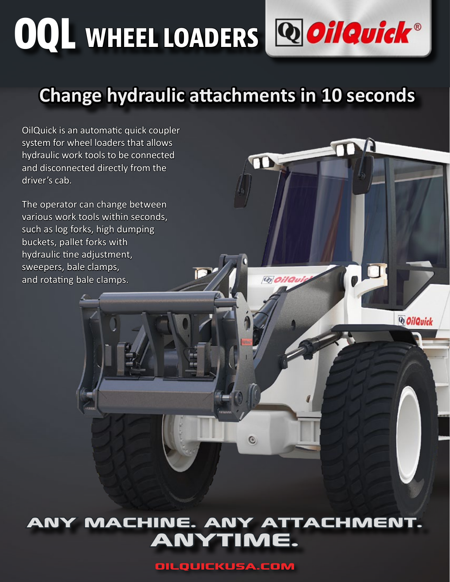# **OQL WHEEL LOADERS**

# **Change hydraulic attachments in 10 seconds**

 $\mathbf{T}$ 

**@Oilau** 

*QoilQuick* 

OilQuick is an automatic quick coupler system for wheel loaders that allows hydraulic work tools to be connected and disconnected directly from the driver's cab.

The operator can change between various work tools within seconds, such as log forks, high dumping buckets, pallet forks with hydraulic tine adjustment, sweepers, bale clamps, and rotating bale clamps.

### any machine. any attachment. anytime.

 $\odot$ 

OilQuickUSA.com